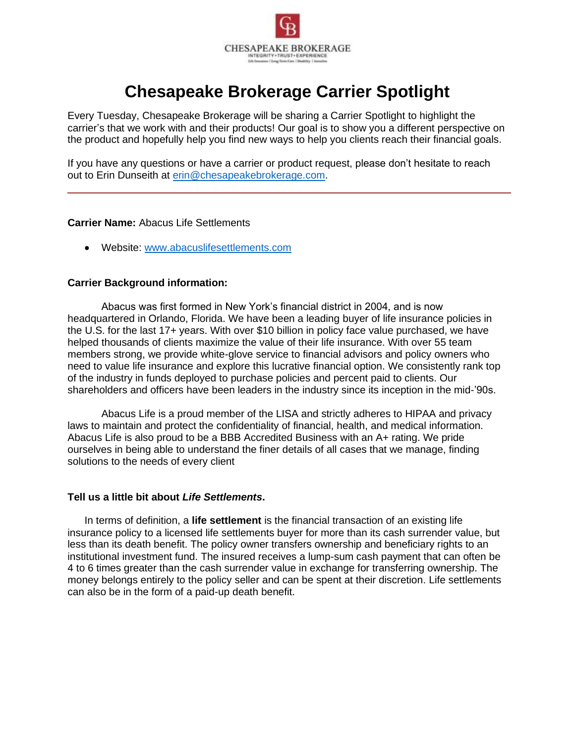

# **Chesapeake Brokerage Carrier Spotlight**

Every Tuesday, Chesapeake Brokerage will be sharing a Carrier Spotlight to highlight the carrier's that we work with and their products! Our goal is to show you a different perspective on the product and hopefully help you find new ways to help you clients reach their financial goals.

If you have any questions or have a carrier or product request, please don't hesitate to reach out to Erin Dunseith at [erin@chesapeakebrokerage.com.](mailto:erin@chesapeakebrokerage.com)

#### **Carrier Name:** Abacus Life Settlements

• Website: [www.abacuslifesettlements.com](http://www.abacuslifesettlements.com/)

#### **Carrier Background information:**

Abacus was first formed in New York's financial district in 2004, and is now headquartered in Orlando, Florida. We have been a leading buyer of life insurance policies in the U.S. for the last 17+ years. With over \$10 billion in policy face value purchased, we have helped thousands of clients maximize the value of their life insurance. With over 55 team members strong, we provide white-glove service to financial advisors and policy owners who need to value life insurance and explore this lucrative financial option. We consistently rank top of the industry in funds deployed to purchase policies and percent paid to clients. Our shareholders and officers have been leaders in the industry since its inception in the mid-'90s.

Abacus Life is a proud member of the LISA and strictly adheres to HIPAA and privacy laws to maintain and protect the confidentiality of financial, health, and medical information. Abacus Life is also proud to be a BBB Accredited Business with an A+ rating. We pride ourselves in being able to understand the finer details of all cases that we manage, finding solutions to the needs of every client

#### **Tell us a little bit about** *Life Settlements***.**

In terms of definition, a **life settlement** is the financial transaction of an existing life insurance policy to a licensed life settlements buyer for more than its cash surrender value, but less than its death benefit. The policy owner transfers ownership and beneficiary rights to an institutional investment fund. The insured receives a lump-sum cash payment that can often be 4 to 6 times greater than the cash surrender value in exchange for transferring ownership. The money belongs entirely to the policy seller and can be spent at their discretion. Life settlements can also be in the form of a paid-up death benefit.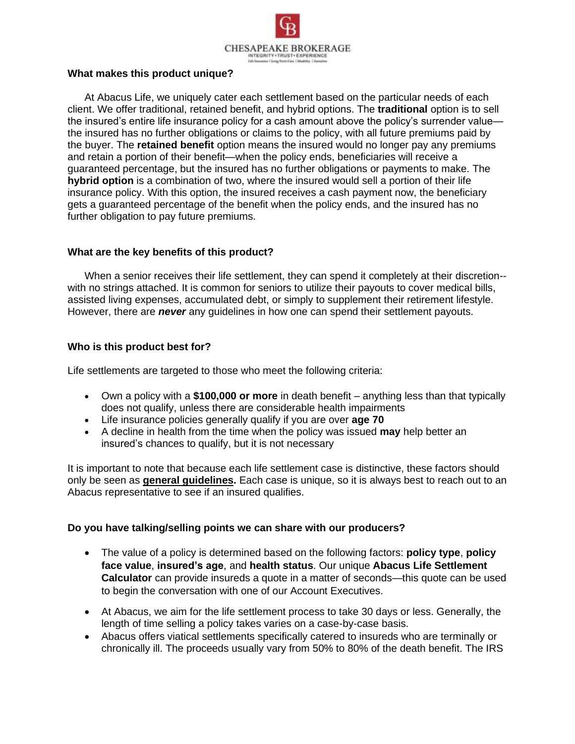

## **What makes this product unique?**

At Abacus Life, we uniquely cater each settlement based on the particular needs of each client. We offer traditional, retained benefit, and hybrid options. The **traditional** option is to sell the insured's entire life insurance policy for a cash amount above the policy's surrender value the insured has no further obligations or claims to the policy, with all future premiums paid by the buyer. The **retained benefit** option means the insured would no longer pay any premiums and retain a portion of their benefit—when the policy ends, beneficiaries will receive a guaranteed percentage, but the insured has no further obligations or payments to make. The **hybrid option** is a combination of two, where the insured would sell a portion of their life insurance policy. With this option, the insured receives a cash payment now, the beneficiary gets a guaranteed percentage of the benefit when the policy ends, and the insured has no further obligation to pay future premiums.

# **What are the key benefits of this product?**

When a senior receives their life settlement, they can spend it completely at their discretion- with no strings attached. It is common for seniors to utilize their payouts to cover medical bills, assisted living expenses, accumulated debt, or simply to supplement their retirement lifestyle. However, there are *never* any guidelines in how one can spend their settlement payouts.

# **Who is this product best for?**

Life settlements are targeted to those who meet the following criteria:

- Own a policy with a **\$100,000 or more** in death benefit anything less than that typically does not qualify, unless there are considerable health impairments
- Life insurance policies generally qualify if you are over **age 70**
- A decline in health from the time when the policy was issued **may** help better an insured's chances to qualify, but it is not necessary

It is important to note that because each life settlement case is distinctive, these factors should only be seen as **general guidelines.** Each case is unique, so it is always best to reach out to an Abacus representative to see if an insured qualifies.

## **Do you have talking/selling points we can share with our producers?**

- The value of a policy is determined based on the following factors: **policy type**, **policy face value**, **insured's age**, and **health status**. Our unique **Abacus Life Settlement Calculator** can provide insureds a quote in a matter of seconds—this quote can be used to begin the conversation with one of our Account Executives.
- At Abacus, we aim for the life settlement process to take 30 days or less. Generally, the length of time selling a policy takes varies on a case-by-case basis.
- Abacus offers viatical settlements specifically catered to insureds who are terminally or chronically ill. The proceeds usually vary from 50% to 80% of the death benefit. The IRS